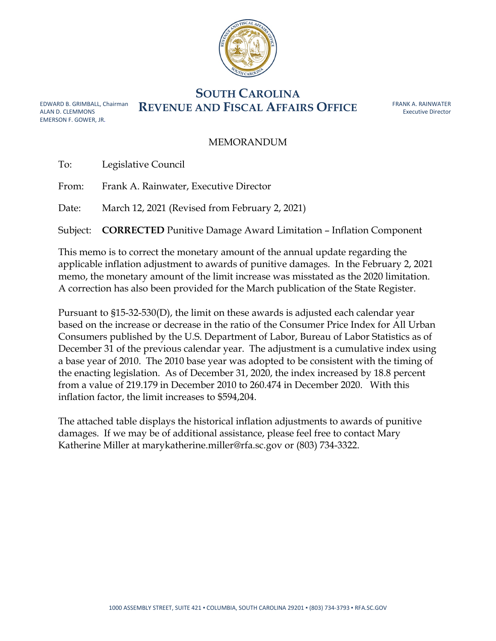

## **SOUTH CAROLINA EDWARD B. GRIMBALL, Chairman** REVENUE AND FISCAL AFFAIRS OFFICE

ALAN D. CLEMMONS EMERSON F. GOWER, JR. FRANK A. RAINWATER Executive Director

## MEMORANDUM

|       | To: Legislative Council                                                          |
|-------|----------------------------------------------------------------------------------|
| From: | Frank A. Rainwater, Executive Director                                           |
| Date: | March 12, 2021 (Revised from February 2, 2021)                                   |
|       | Subject: <b>CORRECTED</b> Punitive Damage Award Limitation - Inflation Component |

This memo is to correct the monetary amount of the annual update regarding the applicable inflation adjustment to awards of punitive damages. In the February 2, 2021 memo, the monetary amount of the limit increase was misstated as the 2020 limitation. A correction has also been provided for the March publication of the State Register.

Pursuant to §15-32-530(D), the limit on these awards is adjusted each calendar year based on the increase or decrease in the ratio of the Consumer Price Index for All Urban Consumers published by the U.S. Department of Labor, Bureau of Labor Statistics as of December 31 of the previous calendar year. The adjustment is a cumulative index using a base year of 2010. The 2010 base year was adopted to be consistent with the timing of the enacting legislation. As of December 31, 2020, the index increased by 18.8 percent from a value of 219.179 in December 2010 to 260.474 in December 2020. With this inflation factor, the limit increases to \$594,204.

The attached table displays the historical inflation adjustments to awards of punitive damages. If we may be of additional assistance, please feel free to contact Mary Katherine Miller at marykatherine.miller@rfa.sc.gov or (803) 734-3322.